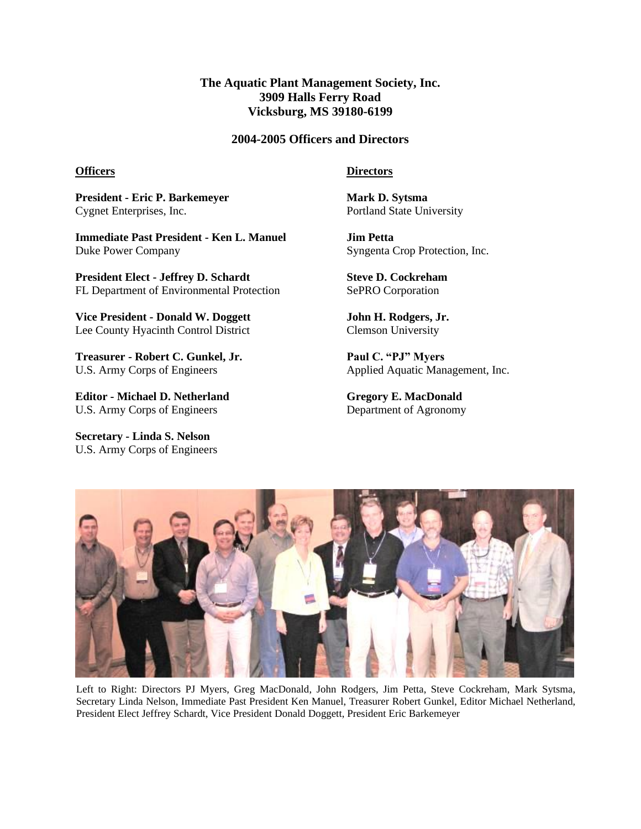# **The Aquatic Plant Management Society, Inc. 3909 Halls Ferry Road Vicksburg, MS 39180-6199**

## **2004-2005 Officers and Directors**

#### **Officers**

**President - Eric P. Barkemeyer** Cygnet Enterprises, Inc.

**Immediate Past President - Ken L. Manuel** Duke Power Company

**President Elect - Jeffrey D. Schardt** FL Department of Environmental Protection

**Vice President - Donald W. Doggett** Lee County Hyacinth Control District

**Treasurer - Robert C. Gunkel, Jr.** U.S. Army Corps of Engineers

**Editor - Michael D. Netherland** U.S. Army Corps of Engineers

**Secretary - Linda S. Nelson** U.S. Army Corps of Engineers

## **Directors**

**Mark D. Sytsma** Portland State University

**Jim Petta** Syngenta Crop Protection, Inc.

**Steve D. Cockreham** SePRO Corporation

**John H. Rodgers, Jr.** Clemson University

**Paul C. "PJ" Myers** Applied Aquatic Management, Inc.

**Gregory E. MacDonald** Department of Agronomy



Left to Right: Directors PJ Myers, Greg MacDonald, John Rodgers, Jim Petta, Steve Cockreham, Mark Sytsma, Secretary Linda Nelson, Immediate Past President Ken Manuel, Treasurer Robert Gunkel, Editor Michael Netherland, President Elect Jeffrey Schardt, Vice President Donald Doggett, President Eric Barkemeyer